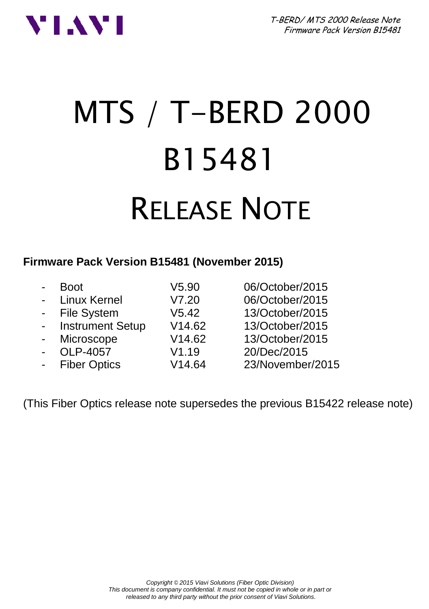T-BERD/ MTS 2000 Release Note Firmware Pack Version B15481



# MTS / T-BERD 2000 B15481 RELEASE NOTE

#### **Firmware Pack Version B15481 (November 2015)**

| $\blacksquare$ | <b>Boot</b>         | V5.90  | 06/October/2015  |
|----------------|---------------------|--------|------------------|
|                | - Linux Kernel      | V7.20  | 06/October/2015  |
|                | - File System       | V5.42  | 13/October/2015  |
|                | - Instrument Setup  | V14.62 | 13/October/2015  |
| $\sim$         | Microscope          | V14.62 | 13/October/2015  |
| $\blacksquare$ | OLP-4057            | V1.19  | 20/Dec/2015      |
| $\blacksquare$ | <b>Fiber Optics</b> | V14.64 | 23/November/2015 |
|                |                     |        |                  |

(This Fiber Optics release note supersedes the previous B15422 release note)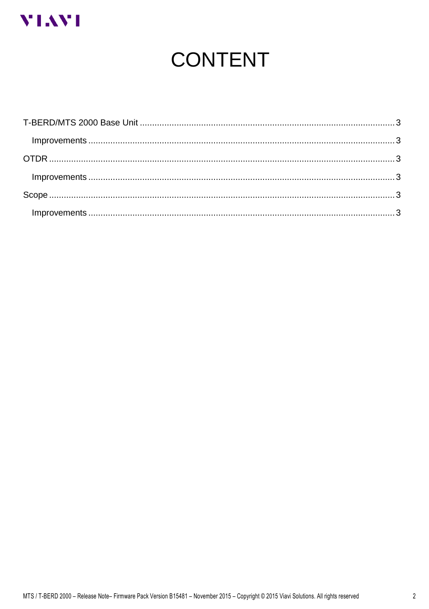

# **CONTENT**

| $Improvements \dots 3$ |  |
|------------------------|--|
|                        |  |
|                        |  |
|                        |  |
|                        |  |